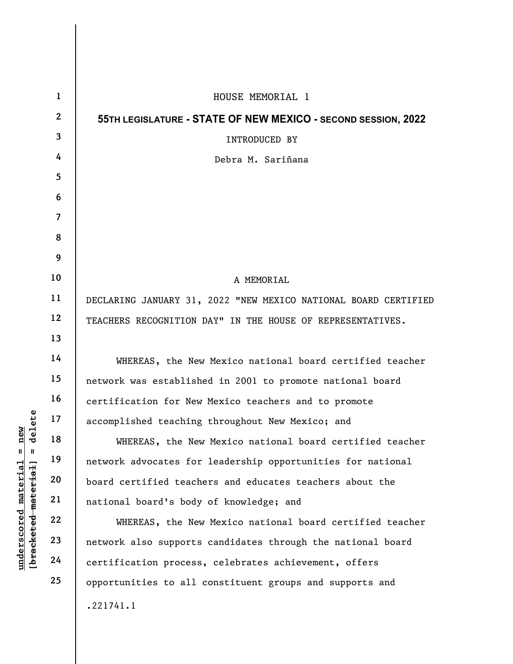|                                                  | $\mathbf{1}$   | HOUSE MEMORIAL 1                                                |
|--------------------------------------------------|----------------|-----------------------------------------------------------------|
|                                                  | $\mathbf{2}$   | 55TH LEGISLATURE - STATE OF NEW MEXICO - SECOND SESSION, 2022   |
|                                                  | 3              | INTRODUCED BY                                                   |
|                                                  | 4              | Debra M. Sariñana                                               |
|                                                  | 5              |                                                                 |
|                                                  | 6              |                                                                 |
|                                                  | $\overline{7}$ |                                                                 |
|                                                  | 8              |                                                                 |
|                                                  | 9              |                                                                 |
|                                                  | 10             | A MEMORIAL                                                      |
|                                                  | 11             | DECLARING JANUARY 31, 2022 "NEW MEXICO NATIONAL BOARD CERTIFIED |
|                                                  | 12             | TEACHERS RECOGNITION DAY" IN THE HOUSE OF REPRESENTATIVES.      |
|                                                  | 13             |                                                                 |
|                                                  | 14             | WHEREAS, the New Mexico national board certified teacher        |
|                                                  | 15             | network was established in 2001 to promote national board       |
|                                                  | 16             | certification for New Mexico teachers and to promote            |
| delete                                           | 17             | accomplished teaching throughout New Mexico; and                |
| new<br>$\mathbf{u}$<br>$\blacksquare$            | 18             | WHEREAS, the New Mexico national board certified teacher        |
|                                                  | 19             | network advocates for leadership opportunities for national     |
| material                                         | 20             | board certified teachers and educates teachers about the        |
|                                                  | 21             | national board's body of knowledge; and                         |
| [ <del>bracketed material</del> ]<br>underscored | 22             | WHEREAS, the New Mexico national board certified teacher        |
|                                                  | 23             | network also supports candidates through the national board     |
|                                                  | 24             | certification process, celebrates achievement, offers           |
|                                                  | 25             | opportunities to all constituent groups and supports and        |
|                                                  |                | .221741.1                                                       |
|                                                  |                |                                                                 |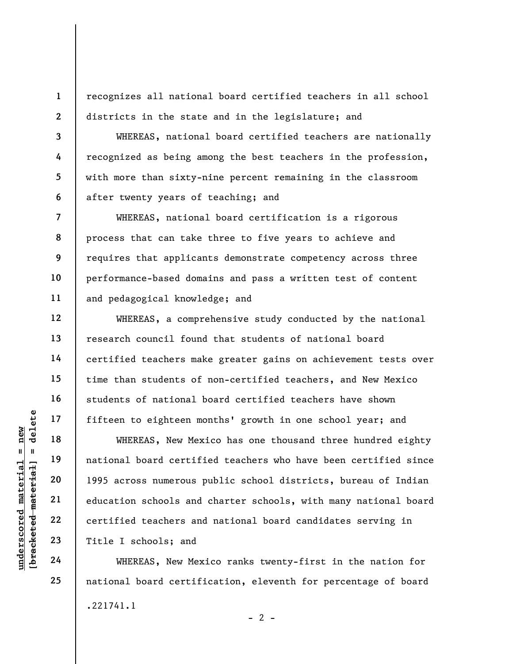recognizes all national board certified teachers in all school districts in the state and in the legislature; and

WHEREAS, national board certified teachers are nationally recognized as being among the best teachers in the profession, with more than sixty-nine percent remaining in the classroom after twenty years of teaching; and

WHEREAS, national board certification is a rigorous process that can take three to five years to achieve and requires that applicants demonstrate competency across three performance-based domains and pass a written test of content and pedagogical knowledge; and

WHEREAS, a comprehensive study conducted by the national research council found that students of national board certified teachers make greater gains on achievement tests over time than students of non-certified teachers, and New Mexico students of national board certified teachers have shown fifteen to eighteen months' growth in one school year; and

understand material material material material material material material material material density and the same correction of the same correction of the same correction of the same correction of the same correction of the WHEREAS, New Mexico has one thousand three hundred eighty national board certified teachers who have been certified since 1995 across numerous public school districts, bureau of Indian education schools and charter schools, with many national board certified teachers and national board candidates serving in Title I schools; and

WHEREAS, New Mexico ranks twenty-first in the nation for national board certification, eleventh for percentage of board .221741.1  $- 2 -$ 

1

2

3

4

5

6

7

8

9

10

11

12

13

14

15

16

17

18

19

20

21

22

23

24

25